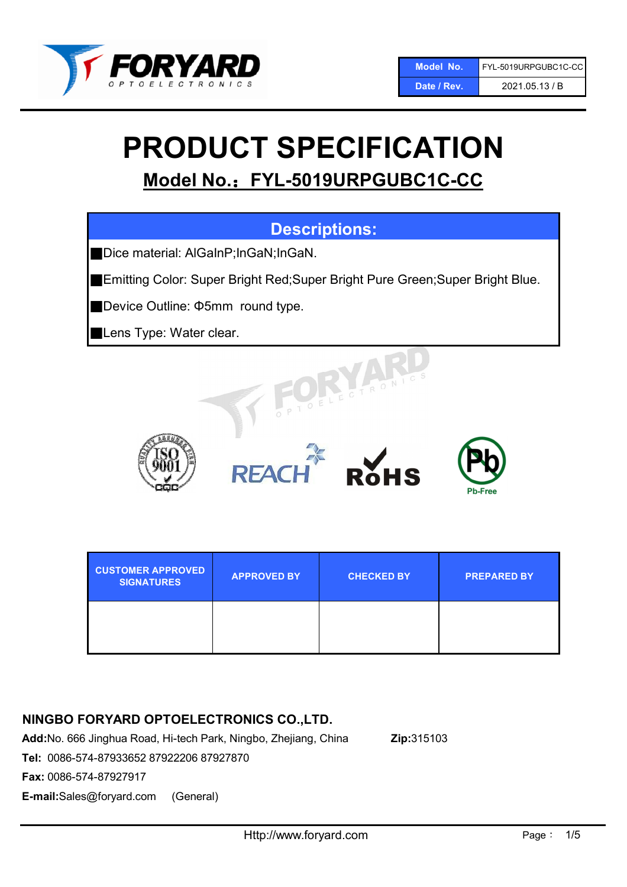

# PRODUCT SPECIFICATION

Model No.: FYL-5019URPGUBC1C-CC

## Descriptions:

■Dice material: AlGaInP;InGaN;InGaN.

■Emitting Color: Super Bright Red; Super Bright Pure Green; Super Bright Blue.

■Device Outline: Φ5mm round type.

Lens Type: Water clear.









| <b>CUSTOMER APPROVED</b><br><b>SIGNATURES</b> | <b>APPROVED BY</b> | <b>CHECKED BY</b> | <b>PREPARED BY</b> |
|-----------------------------------------------|--------------------|-------------------|--------------------|
|                                               |                    |                   |                    |

## NINGBO FORYARD OPTOELECTRONICS CO.,LTD.

Add:No. 666 Jinghua Road, Hi-tech Park, Ningbo, Zhejiang, China Zip:315103

Tel: 0086-574-87933652 87922206 87927870

Fax: 0086-574-87927917

E-mail:Sales@foryard.com (General)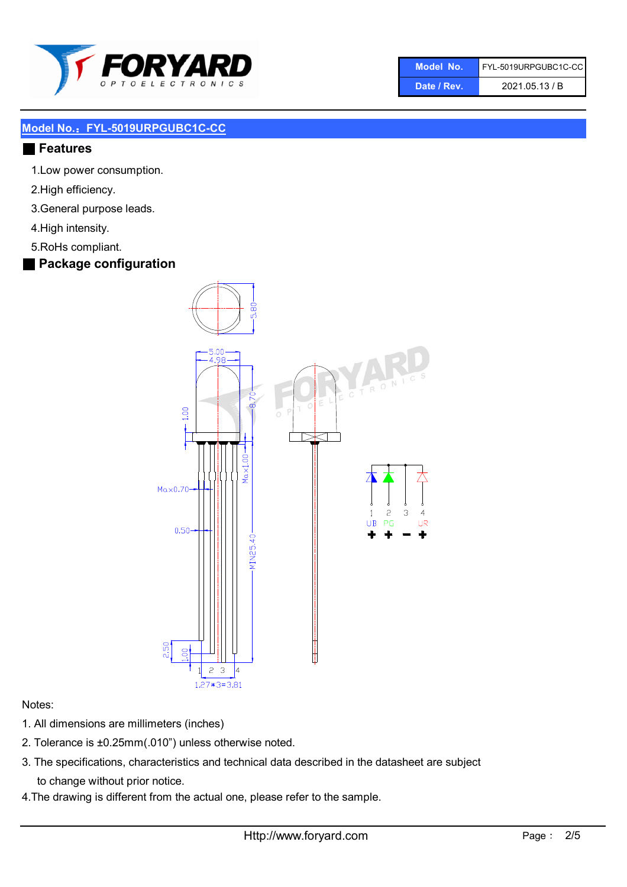

| Model No.   | FYL-5019URPGUBC1C-CC |
|-------------|----------------------|
| Date / Rev. | 2021.05.13 / B       |

#### ■ Features

- 1.Low power consumption.
- 2.High efficiency.
- 3.General purpose leads.
- 4.High intensity.
- 5.RoHs compliant.
- Package configuration



#### Notes:

- 1. All dimensions are millimeters (inches)
- 2. Tolerance is ±0.25mm(.010") unless otherwise noted.
- 3. The specifications, characteristics and technical data described in the datasheet are subject to change without prior notice.
- 4.The drawing is different from the actual one, please refer to the sample.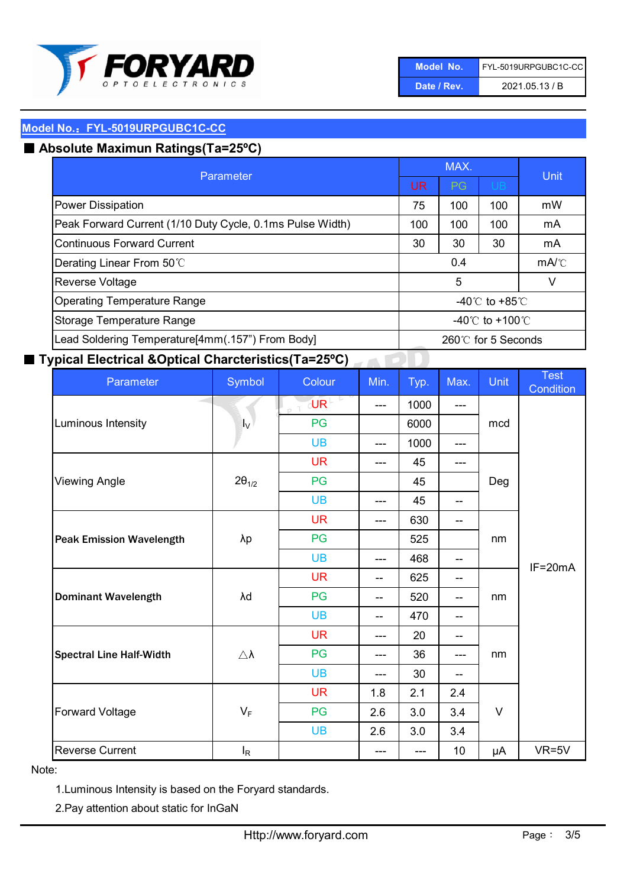

| Model No.   | FYL-5019URPGUBC1C-CC |
|-------------|----------------------|
| Date / Rev. | 2021.05.13 / B       |

## ■ Absolute Maximun Ratings(Ta=25°C)

| Parameter                                                                |                                   | MAX.            | Unit                                 |    |  |
|--------------------------------------------------------------------------|-----------------------------------|-----------------|--------------------------------------|----|--|
|                                                                          |                                   | PG              | UB.                                  |    |  |
| <b>Power Dissipation</b>                                                 | 75                                | 100             | 100                                  | mW |  |
| Peak Forward Current (1/10 Duty Cycle, 0.1ms Pulse Width)                | 100                               | 100             | 100                                  | mA |  |
| <b>Continuous Forward Current</b>                                        |                                   | 30              | 30                                   | mA |  |
| Derating Linear From 50°C                                                | 0.4                               |                 | $mA$ <sup><math>\circ</math></sup> C |    |  |
| Reverse Voltage                                                          | 5<br>V                            |                 |                                      |    |  |
| <b>Operating Temperature Range</b><br>-40 $\degree$ C to +85 $\degree$ C |                                   |                 |                                      |    |  |
| Storage Temperature Range                                                |                                   | -40°C to +100°C |                                      |    |  |
| Lead Soldering Temperature[4mm(.157") From Body]                         | $260^\circ\text{C}$ for 5 Seconds |                 |                                      |    |  |

#### ■ Typical Electrical &Optical Charcteristics(Ta=25°C)

| Parameter                       | Symbol              | Colour       | Min.                     | Typ.  | Max.  | Unit   | Test<br>Condition |
|---------------------------------|---------------------|--------------|--------------------------|-------|-------|--------|-------------------|
|                                 | $I_{\rm V}$         | $U$ RL<br>pT | $---$                    | 1000  | ---   | mcd    |                   |
| Luminous Intensity              |                     | PG           |                          | 6000  |       |        |                   |
|                                 |                     | <b>UB</b>    | $---$                    | 1000  | ---   |        |                   |
|                                 | $2\theta_{1/2}$     | <b>UR</b>    | ---                      | 45    | ---   | Deg    |                   |
| <b>Viewing Angle</b>            |                     | PG           |                          | 45    |       |        |                   |
|                                 |                     | <b>UB</b>    | $---$                    | 45    | $- -$ |        |                   |
|                                 |                     | <b>UR</b>    | $---$                    | 630   | $- -$ |        |                   |
| <b>Peak Emission Wavelength</b> | λp                  | PG           |                          | 525   |       | nm     | $IF=20mA$         |
|                                 |                     | <b>UB</b>    | ---                      | 468   | $-$   |        |                   |
| <b>Dominant Wavelength</b>      | λd                  | <b>UR</b>    | $- -$                    | 625   | $-$   | nm     |                   |
|                                 |                     | PG           | $-$                      | 520   | $-$   |        |                   |
|                                 |                     | <b>UB</b>    | $\overline{\phantom{a}}$ | 470   | $- -$ |        |                   |
|                                 |                     | <b>UR</b>    | $---$                    | 20    | $- -$ |        |                   |
| <b>Spectral Line Half-Width</b> | $\triangle \lambda$ | PG           | ---                      | 36    | ---   | nm     |                   |
|                                 |                     | <b>UB</b>    | ---                      | 30    | --    |        |                   |
| <b>Forward Voltage</b>          | $V_F$               | <b>UR</b>    | 1.8                      | 2.1   | 2.4   | $\vee$ |                   |
|                                 |                     | PG           | 2.6                      | 3.0   | 3.4   |        |                   |
|                                 |                     | <b>UB</b>    | 2.6                      | 3.0   | 3.4   |        |                   |
| <b>Reverse Current</b>          | $I_R$               |              | ---                      | $---$ | 10    | μA     | $VR=5V$           |

#### Note:

1.Luminous Intensity is based on the Foryard standards.

2.Pay attention about static for InGaN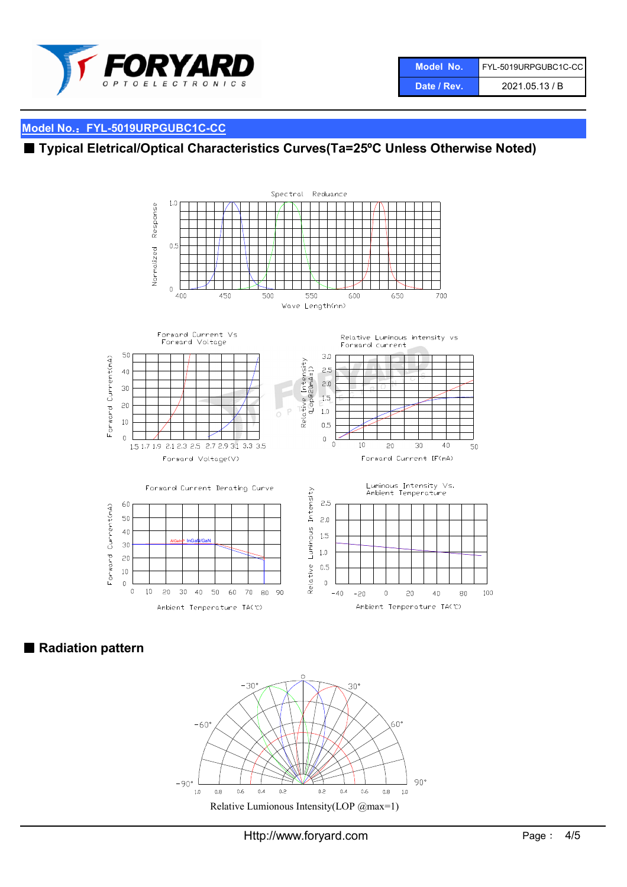

## ■ Typical Eletrical/Optical Characteristics Curves(Ta=25°C Unless Otherwise Noted)



■ Radiation pattern